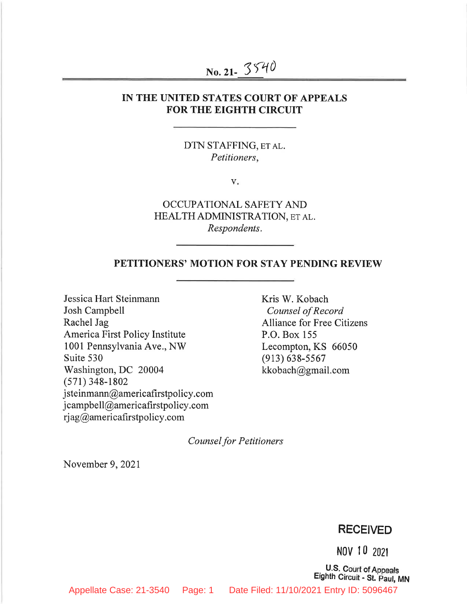# No. 21-3540

#### IN THE UNITED STATES COURT OF APPEALS **FOR THE EIGHTH CIRCUIT**

DTN STAFFING, ET AL. Petitioners,

 $V_{\star}$ 

OCCUPATIONAL SAFETY AND HEALTH ADMINISTRATION, ET AL. Respondents.

#### PETITIONERS' MOTION FOR STAY PENDING REVIEW

Jessica Hart Steinmann Josh Campbell Rachel Jag America First Policy Institute 1001 Pennsylvania Ave., NW Suite 530 Washington, DC 20004  $(571)$  348-1802 isteinmann@americafirstpolicy.com jcampbell@americafirstpolicy.com rjag@americafirstpolicy.com

Kris W. Kobach Counsel of Record **Alliance for Free Citizens** P.O. Box 155 Lecompton, KS 66050  $(913) 638 - 5567$ kkobach@gmail.com

**Counsel for Petitioners** 

November 9, 2021

#### **RECEIVED**

NOV 10 2021

U.S. Court of Appeals Eighth Circuit - St. Paul, MN

Appellate Case: 21-3540 Page: 1 Date Filed: 11/10/2021 Entry ID: 5096467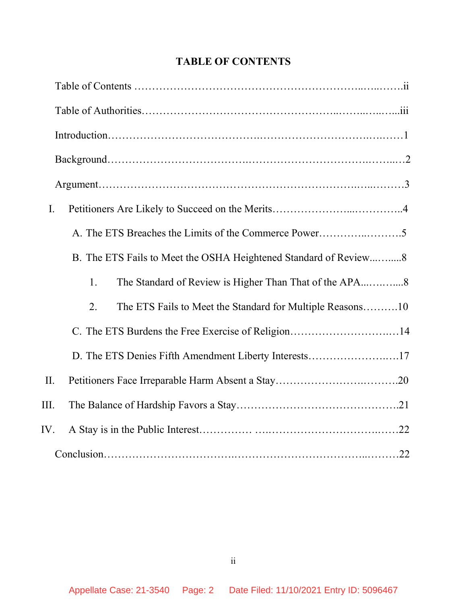| I.                                                               |
|------------------------------------------------------------------|
| A. The ETS Breaches the Limits of the Commerce Power5            |
| B. The ETS Fails to Meet the OSHA Heightened Standard of Review8 |
| 1.                                                               |
| The ETS Fails to Meet the Standard for Multiple Reasons10<br>2.  |
|                                                                  |
| D. The ETS Denies Fifth Amendment Liberty Interests17            |
| II.                                                              |
| III.                                                             |
| IV.                                                              |
|                                                                  |

# TABLE OF CONTENTS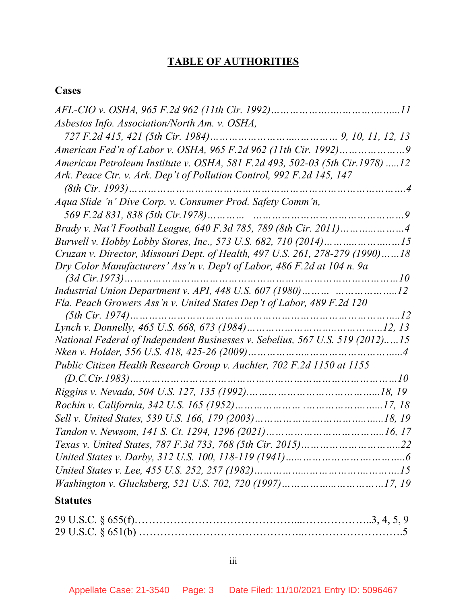# TABLE OF AUTHORITIES

## **Cases**

## **Statutes**

iii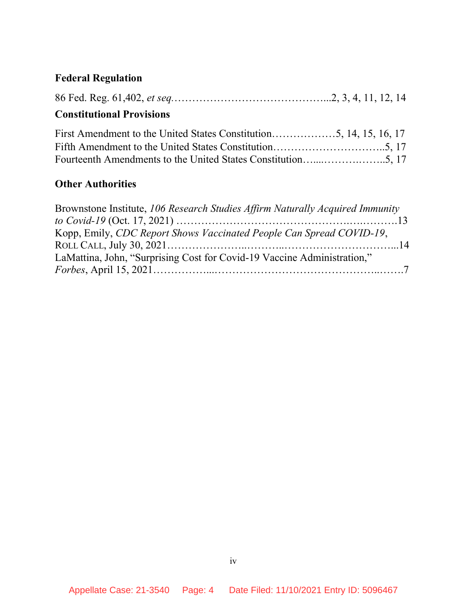# Federal Regulation

|--|--|--|--|--|--|

# Constitutional Provisions

### **Other Authorities**

| Brownstone Institute, 106 Research Studies Affirm Naturally Acquired Immunity |  |
|-------------------------------------------------------------------------------|--|
|                                                                               |  |
| Kopp, Emily, CDC Report Shows Vaccinated People Can Spread COVID-19,          |  |
|                                                                               |  |
| LaMattina, John, "Surprising Cost for Covid-19 Vaccine Administration,"       |  |
|                                                                               |  |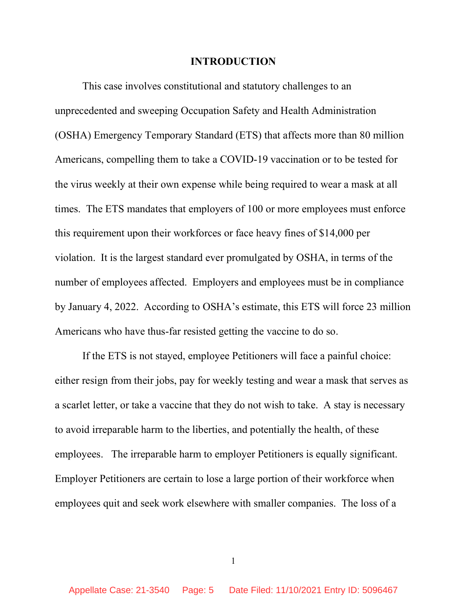#### INTRODUCTION

This case involves constitutional and statutory challenges to an unprecedented and sweeping Occupation Safety and Health Administration (OSHA) Emergency Temporary Standard (ETS) that affects more than 80 million Americans, compelling them to take a COVID-19 vaccination or to be tested for the virus weekly at their own expense while being required to wear a mask at all times. The ETS mandates that employers of 100 or more employees must enforce this requirement upon their workforces or face heavy fines of \$14,000 per violation. It is the largest standard ever promulgated by OSHA, in terms of the number of employees affected. Employers and employees must be in compliance by January 4, 2022. According to OSHA's estimate, this ETS will force 23 million Americans who have thus-far resisted getting the vaccine to do so.

 If the ETS is not stayed, employee Petitioners will face a painful choice: either resign from their jobs, pay for weekly testing and wear a mask that serves as a scarlet letter, or take a vaccine that they do not wish to take. A stay is necessary to avoid irreparable harm to the liberties, and potentially the health, of these employees. The irreparable harm to employer Petitioners is equally significant. Employer Petitioners are certain to lose a large portion of their workforce when employees quit and seek work elsewhere with smaller companies. The loss of a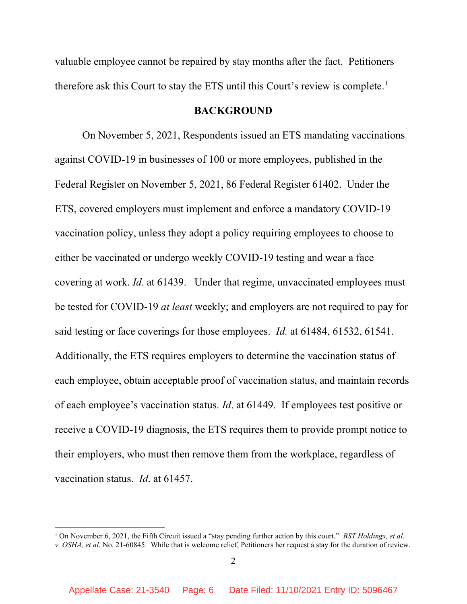valuable employee cannot be repaired by stay months after the fact. Petitioners therefore ask this Court to stay the ETS until this Court's review is complete.<sup>1</sup>

#### **BACKGROUND**

On November 5, 2021, Respondents issued an ETS mandating vaccinations against COVID-19 in businesses of 100 or more employees, published in the Federal Register on November 5, 2021, 86 Federal Register 61402. Under the ETS, covered employers must implement and enforce a mandatory COVID-19 vaccination policy, unless they adopt a policy requiring employees to choose to either be vaccinated or undergo weekly COVID-19 testing and wear a face covering at work. Id. at 61439. Under that regime, unvaccinated employees must be tested for COVID-19 at least weekly; and employers are not required to pay for said testing or face coverings for those employees. *Id.* at 61484, 61532, 61541. Additionally, the ETS requires employers to determine the vaccination status of each employee, obtain acceptable proof of vaccination status, and maintain records of each employee's vaccination status. Id. at 61449. If employees test positive or receive a COVID-19 diagnosis, the ETS requires them to provide prompt notice to their employers, who must then remove them from the workplace, regardless of vaccination status. Id. at 61457.

<sup>&</sup>lt;sup>1</sup> On November 6, 2021, the Fifth Circuit issued a "stay pending further action by this court." *BST Holdings, et al.* v. OSHA, et al. No. 21-60845. While that is welcome relief, Petitioners her request a stay for the duration of review.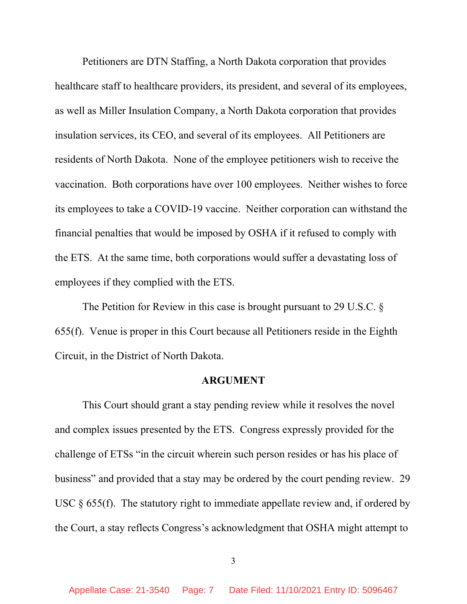Petitioners are DTN Staffing, a North Dakota corporation that provides healthcare staff to healthcare providers, its president, and several of its employees, as well as Miller Insulation Company, a North Dakota corporation that provides insulation services, its CEO, and several of its employees. All Petitioners are residents of North Dakota. None of the employee petitioners wish to receive the vaccination. Both corporations have over 100 employees. Neither wishes to force its employees to take a COVID-19 vaccine. Neither corporation can withstand the financial penalties that would be imposed by OSHA if it refused to comply with the ETS. At the same time, both corporations would suffer a devastating loss of employees if they complied with the ETS.

The Petition for Review in this case is brought pursuant to 29 U.S.C. § 655(f). Venue is proper in this Court because all Petitioners reside in the Eighth Circuit, in the District of North Dakota.

#### ARGUMENT

 This Court should grant a stay pending review while it resolves the novel and complex issues presented by the ETS. Congress expressly provided for the challenge of ETSs "in the circuit wherein such person resides or has his place of business" and provided that a stay may be ordered by the court pending review. 29 USC  $\S$  655(f). The statutory right to immediate appellate review and, if ordered by the Court, a stay reflects Congress's acknowledgment that OSHA might attempt to

3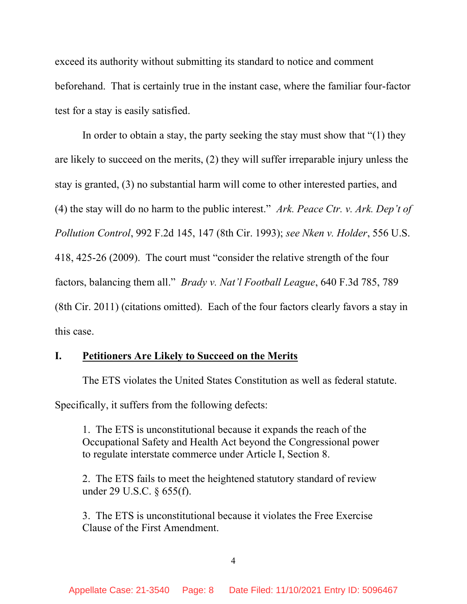exceed its authority without submitting its standard to notice and comment beforehand. That is certainly true in the instant case, where the familiar four-factor test for a stay is easily satisfied.

 In order to obtain a stay, the party seeking the stay must show that "(1) they are likely to succeed on the merits, (2) they will suffer irreparable injury unless the stay is granted, (3) no substantial harm will come to other interested parties, and (4) the stay will do no harm to the public interest." Ark. Peace Ctr. v. Ark. Dep't of Pollution Control, 992 F.2d 145, 147 (8th Cir. 1993); see Nken v. Holder, 556 U.S. 418, 425-26 (2009). The court must "consider the relative strength of the four factors, balancing them all." Brady v. Nat'l Football League, 640 F.3d 785, 789 (8th Cir. 2011) (citations omitted). Each of the four factors clearly favors a stay in this case.

#### I. Petitioners Are Likely to Succeed on the Merits

The ETS violates the United States Constitution as well as federal statute.

Specifically, it suffers from the following defects:

1. The ETS is unconstitutional because it expands the reach of the Occupational Safety and Health Act beyond the Congressional power to regulate interstate commerce under Article I, Section 8.

2. The ETS fails to meet the heightened statutory standard of review under 29 U.S.C. § 655(f).

3. The ETS is unconstitutional because it violates the Free Exercise Clause of the First Amendment.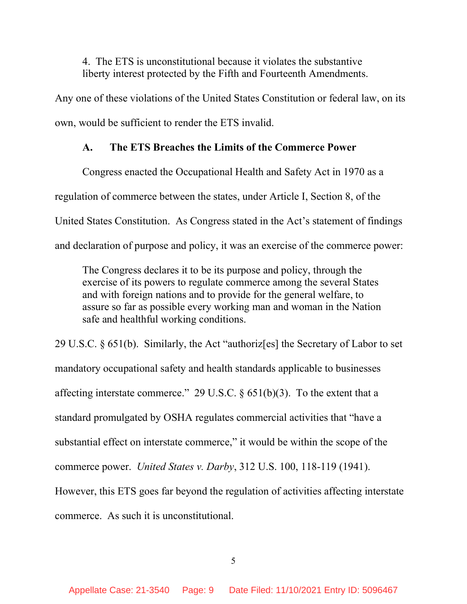4. The ETS is unconstitutional because it violates the substantive liberty interest protected by the Fifth and Fourteenth Amendments.

Any one of these violations of the United States Constitution or federal law, on its own, would be sufficient to render the ETS invalid.

#### A. The ETS Breaches the Limits of the Commerce Power

Congress enacted the Occupational Health and Safety Act in 1970 as a regulation of commerce between the states, under Article I, Section 8, of the United States Constitution. As Congress stated in the Act's statement of findings and declaration of purpose and policy, it was an exercise of the commerce power:

The Congress declares it to be its purpose and policy, through the exercise of its powers to regulate commerce among the several States and with foreign nations and to provide for the general welfare, to assure so far as possible every working man and woman in the Nation safe and healthful working conditions.

29 U.S.C. § 651(b). Similarly, the Act "authoriz[es] the Secretary of Labor to set mandatory occupational safety and health standards applicable to businesses affecting interstate commerce." 29 U.S.C.  $\S 651(b)(3)$ . To the extent that a standard promulgated by OSHA regulates commercial activities that "have a substantial effect on interstate commerce," it would be within the scope of the commerce power. United States v. Darby, 312 U.S. 100, 118-119 (1941). However, this ETS goes far beyond the regulation of activities affecting interstate commerce. As such it is unconstitutional.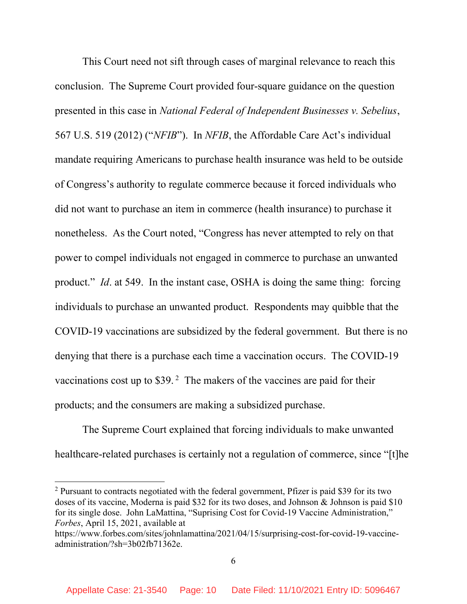This Court need not sift through cases of marginal relevance to reach this conclusion. The Supreme Court provided four-square guidance on the question presented in this case in National Federal of Independent Businesses v. Sebelius, 567 U.S. 519 (2012) ("NFIB"). In NFIB, the Affordable Care Act's individual mandate requiring Americans to purchase health insurance was held to be outside of Congress's authority to regulate commerce because it forced individuals who did not want to purchase an item in commerce (health insurance) to purchase it nonetheless. As the Court noted, "Congress has never attempted to rely on that power to compel individuals not engaged in commerce to purchase an unwanted product." Id. at 549. In the instant case, OSHA is doing the same thing: forcing individuals to purchase an unwanted product. Respondents may quibble that the COVID-19 vaccinations are subsidized by the federal government. But there is no denying that there is a purchase each time a vaccination occurs. The COVID-19 vaccinations cost up to \$39.<sup>2</sup> The makers of the vaccines are paid for their products; and the consumers are making a subsidized purchase.

 The Supreme Court explained that forcing individuals to make unwanted healthcare-related purchases is certainly not a regulation of commerce, since "[t]he

 $2$  Pursuant to contracts negotiated with the federal government, Pfizer is paid \$39 for its two doses of its vaccine, Moderna is paid \$32 for its two doses, and Johnson & Johnson is paid \$10 for its single dose. John LaMattina, "Suprising Cost for Covid-19 Vaccine Administration," Forbes, April 15, 2021, available at

https://www.forbes.com/sites/johnlamattina/2021/04/15/surprising-cost-for-covid-19-vaccineadministration/?sh=3b02fb71362e.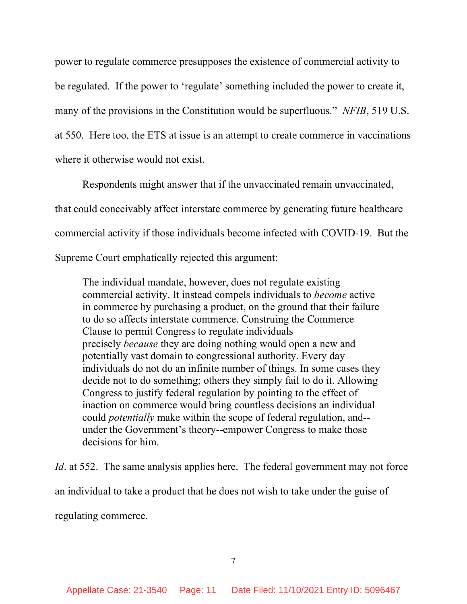power to regulate commerce presupposes the existence of commercial activity to be regulated. If the power to 'regulate' something included the power to create it, many of the provisions in the Constitution would be superfluous." NFIB, 519 U.S. at 550. Here too, the ETS at issue is an attempt to create commerce in vaccinations where it otherwise would not exist.

 Respondents might answer that if the unvaccinated remain unvaccinated, that could conceivably affect interstate commerce by generating future healthcare commercial activity if those individuals become infected with COVID-19. But the Supreme Court emphatically rejected this argument:

The individual mandate, however, does not regulate existing commercial activity. It instead compels individuals to become active in commerce by purchasing a product, on the ground that their failure to do so affects interstate commerce. Construing the Commerce Clause to permit Congress to regulate individuals precisely because they are doing nothing would open a new and potentially vast domain to congressional authority. Every day individuals do not do an infinite number of things. In some cases they decide not to do something; others they simply fail to do it. Allowing Congress to justify federal regulation by pointing to the effect of inaction on commerce would bring countless decisions an individual could potentially make within the scope of federal regulation, and- under the Government's theory--empower Congress to make those decisions for him.

Id. at 552. The same analysis applies here. The federal government may not force an individual to take a product that he does not wish to take under the guise of regulating commerce.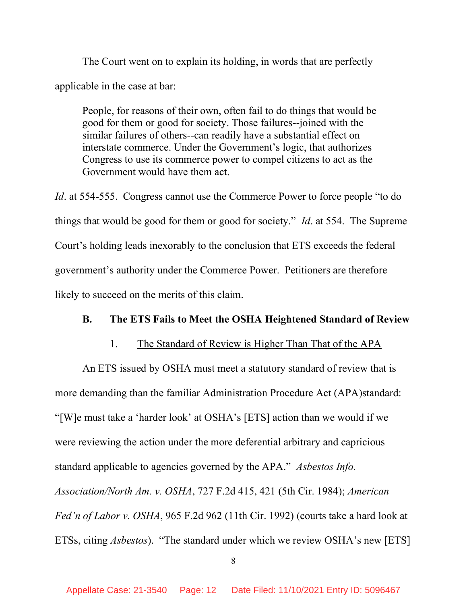The Court went on to explain its holding, in words that are perfectly applicable in the case at bar:

People, for reasons of their own, often fail to do things that would be good for them or good for society. Those failures--joined with the similar failures of others--can readily have a substantial effect on interstate commerce. Under the Government's logic, that authorizes Congress to use its commerce power to compel citizens to act as the Government would have them act.

Id. at 554-555. Congress cannot use the Commerce Power to force people "to do things that would be good for them or good for society." *Id.* at 554. The Supreme Court's holding leads inexorably to the conclusion that ETS exceeds the federal government's authority under the Commerce Power. Petitioners are therefore likely to succeed on the merits of this claim.

#### B. The ETS Fails to Meet the OSHA Heightened Standard of Review

#### 1. The Standard of Review is Higher Than That of the APA

An ETS issued by OSHA must meet a statutory standard of review that is more demanding than the familiar Administration Procedure Act (APA)standard: "[W]e must take a 'harder look' at OSHA's [ETS] action than we would if we were reviewing the action under the more deferential arbitrary and capricious standard applicable to agencies governed by the APA." Asbestos Info. Association/North Am. v. OSHA, 727 F.2d 415, 421 (5th Cir. 1984); American Fed'n of Labor v. OSHA, 965 F.2d 962 (11th Cir. 1992) (courts take a hard look at ETSs, citing Asbestos). "The standard under which we review OSHA's new [ETS]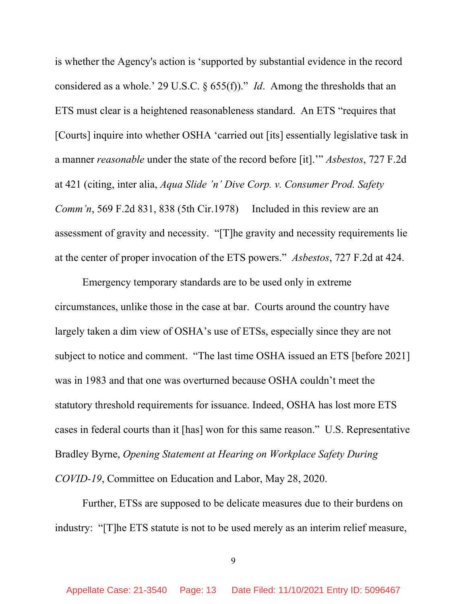is whether the Agency's action is 'supported by substantial evidence in the record considered as a whole.' 29 U.S.C.  $\S$  655(f))." *Id.* Among the thresholds that an ETS must clear is a heightened reasonableness standard. An ETS "requires that [Courts] inquire into whether OSHA 'carried out [its] essentially legislative task in a manner reasonable under the state of the record before [it].'" Asbestos, 727 F.2d at 421 (citing, inter alia, Aqua Slide 'n' Dive Corp. v. Consumer Prod. Safety Comm'n, 569 F.2d 831, 838 (5th Cir.1978) Included in this review are an assessment of gravity and necessity. "[T]he gravity and necessity requirements lie at the center of proper invocation of the ETS powers." Asbestos, 727 F.2d at 424.

Emergency temporary standards are to be used only in extreme circumstances, unlike those in the case at bar. Courts around the country have largely taken a dim view of OSHA's use of ETSs, especially since they are not subject to notice and comment. "The last time OSHA issued an ETS [before 2021] was in 1983 and that one was overturned because OSHA couldn't meet the statutory threshold requirements for issuance. Indeed, OSHA has lost more ETS cases in federal courts than it [has] won for this same reason." U.S. Representative Bradley Byrne, Opening Statement at Hearing on Workplace Safety During COVID-19, Committee on Education and Labor, May 28, 2020.

 Further, ETSs are supposed to be delicate measures due to their burdens on industry: "[T]he ETS statute is not to be used merely as an interim relief measure,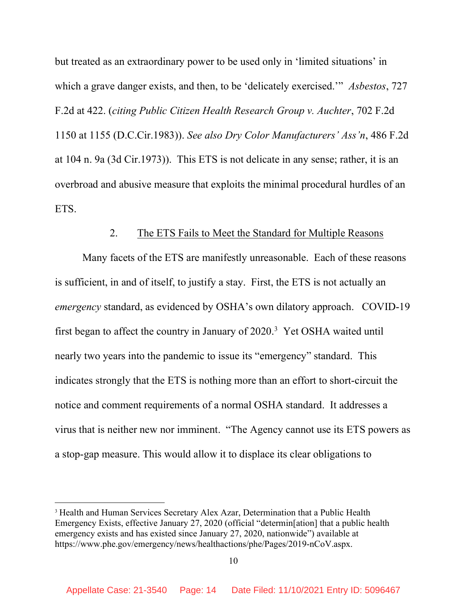but treated as an extraordinary power to be used only in 'limited situations' in which a grave danger exists, and then, to be 'delicately exercised.'" Asbestos, 727 F.2d at 422. (citing Public Citizen Health Research Group v. Auchter, 702 F.2d 1150 at 1155 (D.C.Cir.1983)). See also Dry Color Manufacturers' Ass'n, 486 F.2d at 104 n. 9a (3d Cir.1973)). This ETS is not delicate in any sense; rather, it is an overbroad and abusive measure that exploits the minimal procedural hurdles of an ETS.

#### 2. The ETS Fails to Meet the Standard for Multiple Reasons

Many facets of the ETS are manifestly unreasonable. Each of these reasons is sufficient, in and of itself, to justify a stay. First, the ETS is not actually an emergency standard, as evidenced by OSHA's own dilatory approach. COVID-19 first began to affect the country in January of 2020.<sup>3</sup> Yet OSHA waited until nearly two years into the pandemic to issue its "emergency" standard. This indicates strongly that the ETS is nothing more than an effort to short-circuit the notice and comment requirements of a normal OSHA standard. It addresses a virus that is neither new nor imminent. "The Agency cannot use its ETS powers as a stop-gap measure. This would allow it to displace its clear obligations to

<sup>&</sup>lt;sup>3</sup> Health and Human Services Secretary Alex Azar, Determination that a Public Health Emergency Exists, effective January 27, 2020 (official "determin[ation] that a public health emergency exists and has existed since January 27, 2020, nationwide") available at https://www.phe.gov/emergency/news/healthactions/phe/Pages/2019-nCoV.aspx.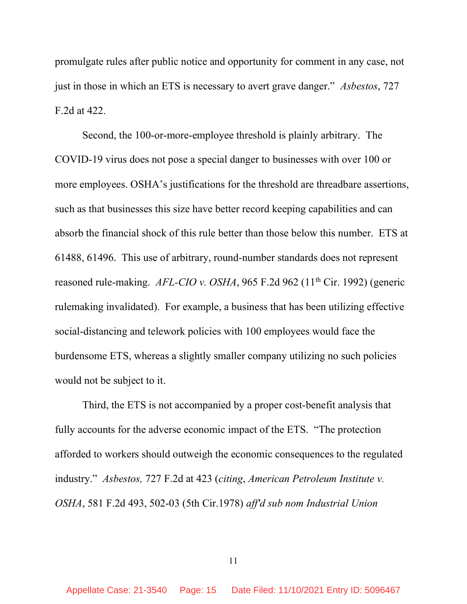promulgate rules after public notice and opportunity for comment in any case, not just in those in which an ETS is necessary to avert grave danger." Asbestos, 727 F.2d at 422.

 Second, the 100-or-more-employee threshold is plainly arbitrary. The COVID-19 virus does not pose a special danger to businesses with over 100 or more employees. OSHA's justifications for the threshold are threadbare assertions, such as that businesses this size have better record keeping capabilities and can absorb the financial shock of this rule better than those below this number. ETS at 61488, 61496. This use of arbitrary, round-number standards does not represent reasoned rule-making.  $AFL-CIO$  v. OSHA, 965 F.2d 962 (11<sup>th</sup> Cir. 1992) (generic rulemaking invalidated). For example, a business that has been utilizing effective social-distancing and telework policies with 100 employees would face the burdensome ETS, whereas a slightly smaller company utilizing no such policies would not be subject to it.

 Third, the ETS is not accompanied by a proper cost-benefit analysis that fully accounts for the adverse economic impact of the ETS. "The protection afforded to workers should outweigh the economic consequences to the regulated industry." Asbestos, 727 F.2d at 423 (citing, American Petroleum Institute v. OSHA, 581 F.2d 493, 502-03 (5th Cir.1978) aff'd sub nom Industrial Union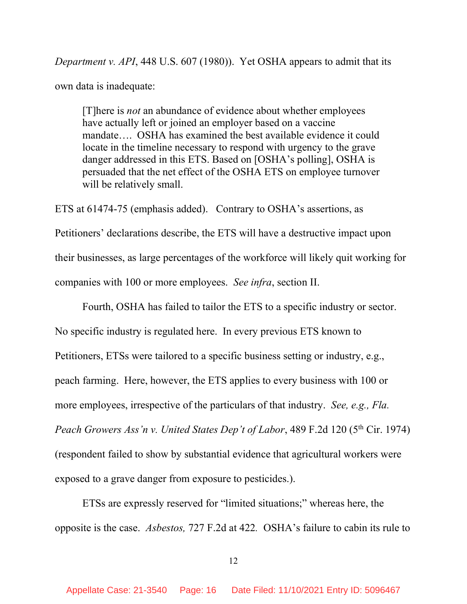Department v. API, 448 U.S. 607 (1980)). Yet OSHA appears to admit that its own data is inadequate:

[T]here is not an abundance of evidence about whether employees have actually left or joined an employer based on a vaccine mandate…. OSHA has examined the best available evidence it could locate in the timeline necessary to respond with urgency to the grave danger addressed in this ETS. Based on [OSHA's polling], OSHA is persuaded that the net effect of the OSHA ETS on employee turnover will be relatively small.

ETS at 61474-75 (emphasis added). Contrary to OSHA's assertions, as Petitioners' declarations describe, the ETS will have a destructive impact upon their businesses, as large percentages of the workforce will likely quit working for companies with 100 or more employees. See infra, section II.

 Fourth, OSHA has failed to tailor the ETS to a specific industry or sector. No specific industry is regulated here. In every previous ETS known to Petitioners, ETSs were tailored to a specific business setting or industry, e.g., peach farming. Here, however, the ETS applies to every business with 100 or more employees, irrespective of the particulars of that industry. See, e.g., Fla. Peach Growers Ass'n v. United States Dep't of Labor, 489 F.2d 120 ( $5<sup>th</sup>$  Cir. 1974) (respondent failed to show by substantial evidence that agricultural workers were exposed to a grave danger from exposure to pesticides.).

 ETSs are expressly reserved for "limited situations;" whereas here, the opposite is the case. Asbestos, 727 F.2d at 422. OSHA's failure to cabin its rule to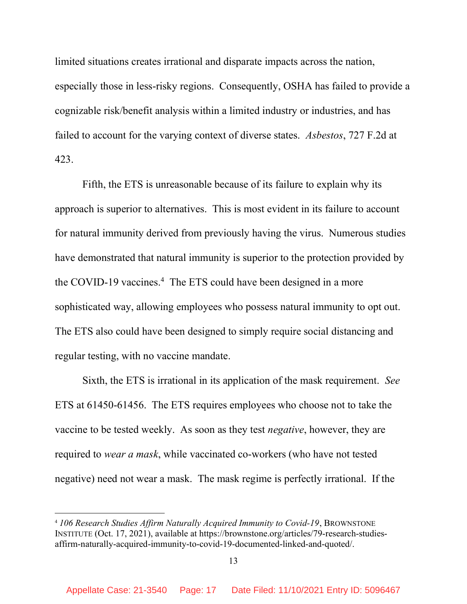limited situations creates irrational and disparate impacts across the nation, especially those in less-risky regions. Consequently, OSHA has failed to provide a cognizable risk/benefit analysis within a limited industry or industries, and has failed to account for the varying context of diverse states. Asbestos, 727 F.2d at 423.

 Fifth, the ETS is unreasonable because of its failure to explain why its approach is superior to alternatives. This is most evident in its failure to account for natural immunity derived from previously having the virus. Numerous studies have demonstrated that natural immunity is superior to the protection provided by the COVID-19 vaccines.<sup>4</sup> The ETS could have been designed in a more sophisticated way, allowing employees who possess natural immunity to opt out. The ETS also could have been designed to simply require social distancing and regular testing, with no vaccine mandate.

 Sixth, the ETS is irrational in its application of the mask requirement. See ETS at 61450-61456. The ETS requires employees who choose not to take the vaccine to be tested weekly. As soon as they test negative, however, they are required to wear a mask, while vaccinated co-workers (who have not tested negative) need not wear a mask. The mask regime is perfectly irrational. If the

<sup>4</sup> 106 Research Studies Affirm Naturally Acquired Immunity to Covid-19, BROWNSTONE INSTITUTE (Oct. 17, 2021), available at https://brownstone.org/articles/79-research-studiesaffirm-naturally-acquired-immunity-to-covid-19-documented-linked-and-quoted/.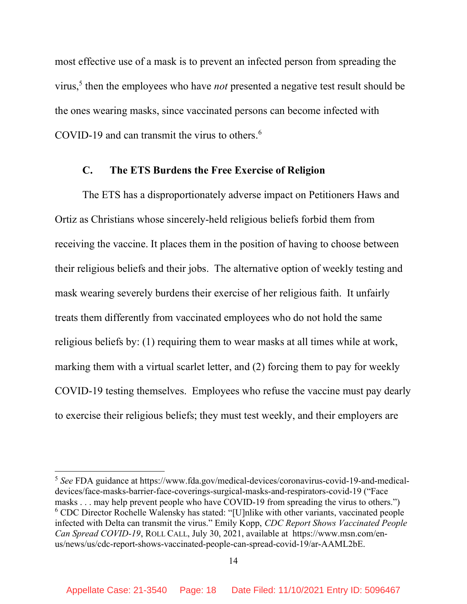most effective use of a mask is to prevent an infected person from spreading the virus,<sup>5</sup> then the employees who have *not* presented a negative test result should be the ones wearing masks, since vaccinated persons can become infected with COVID-19 and can transmit the virus to others.<sup>6</sup>

#### C. The ETS Burdens the Free Exercise of Religion

The ETS has a disproportionately adverse impact on Petitioners Haws and Ortiz as Christians whose sincerely-held religious beliefs forbid them from receiving the vaccine. It places them in the position of having to choose between their religious beliefs and their jobs. The alternative option of weekly testing and mask wearing severely burdens their exercise of her religious faith. It unfairly treats them differently from vaccinated employees who do not hold the same religious beliefs by: (1) requiring them to wear masks at all times while at work, marking them with a virtual scarlet letter, and (2) forcing them to pay for weekly COVID-19 testing themselves. Employees who refuse the vaccine must pay dearly to exercise their religious beliefs; they must test weekly, and their employers are

<sup>5</sup> See FDA guidance at https://www.fda.gov/medical-devices/coronavirus-covid-19-and-medicaldevices/face-masks-barrier-face-coverings-surgical-masks-and-respirators-covid-19 ("Face masks . . . may help prevent people who have COVID-19 from spreading the virus to others.")  $6$  CDC Director Rochelle Walensky has stated: "[U]nlike with other variants, vaccinated people infected with Delta can transmit the virus." Emily Kopp, CDC Report Shows Vaccinated People Can Spread COVID-19, ROLL CALL, July 30, 2021, available at https://www.msn.com/enus/news/us/cdc-report-shows-vaccinated-people-can-spread-covid-19/ar-AAML2bE.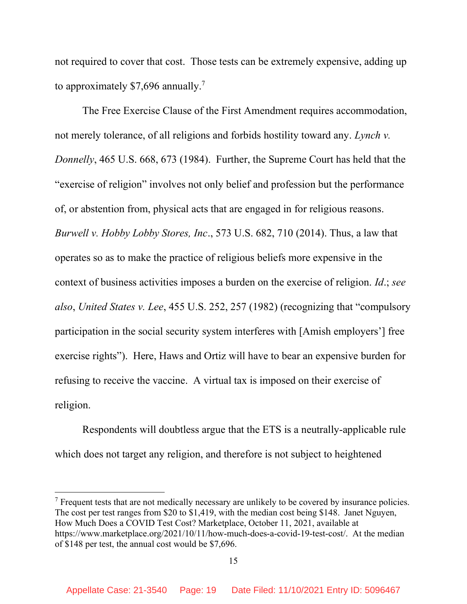not required to cover that cost. Those tests can be extremely expensive, adding up to approximately \$7,696 annually.<sup>7</sup>

The Free Exercise Clause of the First Amendment requires accommodation, not merely tolerance, of all religions and forbids hostility toward any. Lynch v. Donnelly, 465 U.S. 668, 673 (1984). Further, the Supreme Court has held that the "exercise of religion" involves not only belief and profession but the performance of, or abstention from, physical acts that are engaged in for religious reasons. Burwell v. Hobby Lobby Stores, Inc., 573 U.S. 682, 710 (2014). Thus, a law that operates so as to make the practice of religious beliefs more expensive in the context of business activities imposes a burden on the exercise of religion. Id.; see also, United States v. Lee, 455 U.S. 252, 257 (1982) (recognizing that "compulsory participation in the social security system interferes with [Amish employers'] free exercise rights"). Here, Haws and Ortiz will have to bear an expensive burden for refusing to receive the vaccine. A virtual tax is imposed on their exercise of religion.

 Respondents will doubtless argue that the ETS is a neutrally-applicable rule which does not target any religion, and therefore is not subject to heightened

 $<sup>7</sup>$  Frequent tests that are not medically necessary are unlikely to be covered by insurance policies.</sup> The cost per test ranges from \$20 to \$1,419, with the median cost being \$148. Janet Nguyen, How Much Does a COVID Test Cost? Marketplace, October 11, 2021, available at https://www.marketplace.org/2021/10/11/how-much-does-a-covid-19-test-cost/. At the median of \$148 per test, the annual cost would be \$7,696.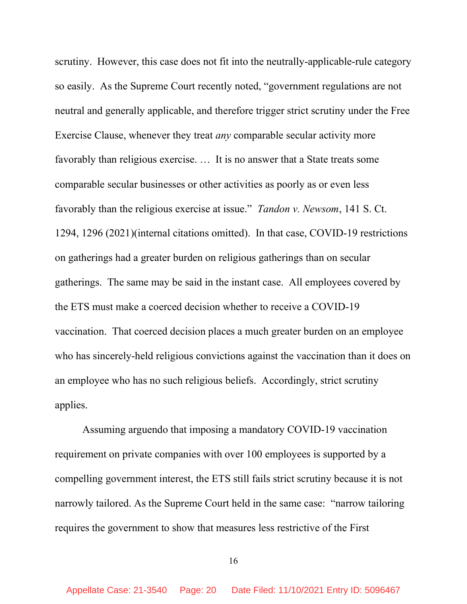scrutiny. However, this case does not fit into the neutrally-applicable-rule category so easily. As the Supreme Court recently noted, "government regulations are not neutral and generally applicable, and therefore trigger strict scrutiny under the Free Exercise Clause, whenever they treat any comparable secular activity more favorably than religious exercise. … It is no answer that a State treats some comparable secular businesses or other activities as poorly as or even less favorably than the religious exercise at issue." Tandon v. Newsom, 141 S. Ct. 1294, 1296 (2021)(internal citations omitted). In that case, COVID-19 restrictions on gatherings had a greater burden on religious gatherings than on secular gatherings. The same may be said in the instant case. All employees covered by the ETS must make a coerced decision whether to receive a COVID-19 vaccination. That coerced decision places a much greater burden on an employee who has sincerely-held religious convictions against the vaccination than it does on an employee who has no such religious beliefs. Accordingly, strict scrutiny applies.

Assuming arguendo that imposing a mandatory COVID-19 vaccination requirement on private companies with over 100 employees is supported by a compelling government interest, the ETS still fails strict scrutiny because it is not narrowly tailored. As the Supreme Court held in the same case: "narrow tailoring requires the government to show that measures less restrictive of the First

16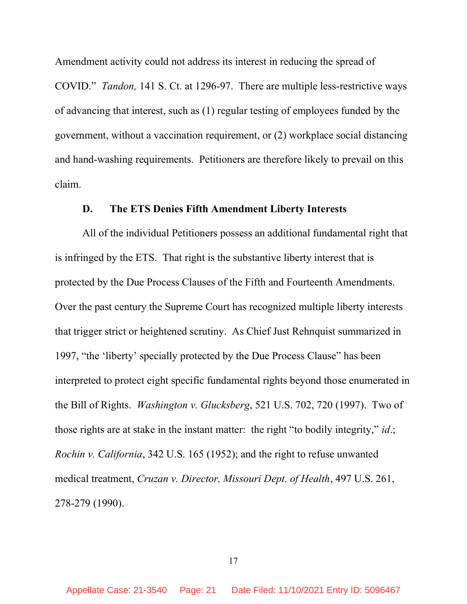Amendment activity could not address its interest in reducing the spread of COVID." Tandon, 141 S. Ct. at 1296-97. There are multiple less-restrictive ways of advancing that interest, such as (1) regular testing of employees funded by the government, without a vaccination requirement, or (2) workplace social distancing and hand-washing requirements. Petitioners are therefore likely to prevail on this claim.

#### D. The ETS Denies Fifth Amendment Liberty Interests

All of the individual Petitioners possess an additional fundamental right that is infringed by the ETS. That right is the substantive liberty interest that is protected by the Due Process Clauses of the Fifth and Fourteenth Amendments. Over the past century the Supreme Court has recognized multiple liberty interests that trigger strict or heightened scrutiny. As Chief Just Rehnquist summarized in 1997, "the 'liberty' specially protected by the Due Process Clause" has been interpreted to protect eight specific fundamental rights beyond those enumerated in the Bill of Rights. Washington v. Glucksberg, 521 U.S. 702, 720 (1997). Two of those rights are at stake in the instant matter: the right "to bodily integrity," *id.*; Rochin v. California, 342 U.S. 165 (1952); and the right to refuse unwanted medical treatment, Cruzan v. Director, Missouri Dept. of Health, 497 U.S. 261, 278-279 (1990).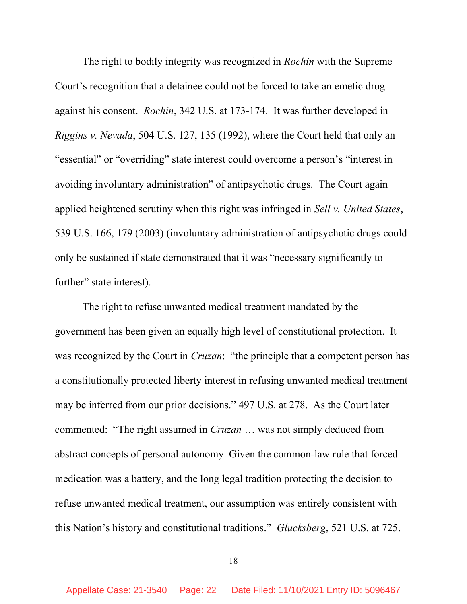The right to bodily integrity was recognized in *Rochin* with the Supreme Court's recognition that a detainee could not be forced to take an emetic drug against his consent. Rochin, 342 U.S. at 173-174. It was further developed in Riggins v. Nevada, 504 U.S. 127, 135 (1992), where the Court held that only an "essential" or "overriding" state interest could overcome a person's "interest in avoiding involuntary administration" of antipsychotic drugs. The Court again applied heightened scrutiny when this right was infringed in *Sell v. United States*, 539 U.S. 166, 179 (2003) (involuntary administration of antipsychotic drugs could only be sustained if state demonstrated that it was "necessary significantly to further" state interest).

The right to refuse unwanted medical treatment mandated by the government has been given an equally high level of constitutional protection. It was recognized by the Court in *Cruzan*: "the principle that a competent person has a constitutionally protected liberty interest in refusing unwanted medical treatment may be inferred from our prior decisions." 497 U.S. at 278. As the Court later commented: "The right assumed in Cruzan … was not simply deduced from abstract concepts of personal autonomy. Given the common-law rule that forced medication was a battery, and the long legal tradition protecting the decision to refuse unwanted medical treatment, our assumption was entirely consistent with this Nation's history and constitutional traditions." Glucksberg, 521 U.S. at 725.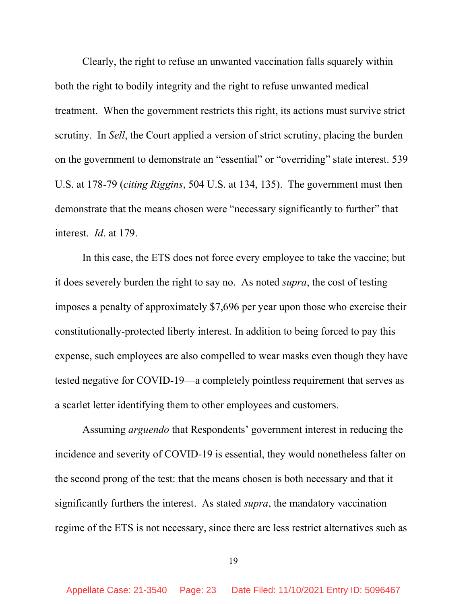Clearly, the right to refuse an unwanted vaccination falls squarely within both the right to bodily integrity and the right to refuse unwanted medical treatment. When the government restricts this right, its actions must survive strict scrutiny. In Sell, the Court applied a version of strict scrutiny, placing the burden on the government to demonstrate an "essential" or "overriding" state interest. 539 U.S. at 178-79 (citing Riggins, 504 U.S. at 134, 135). The government must then demonstrate that the means chosen were "necessary significantly to further" that interest. Id. at 179.

In this case, the ETS does not force every employee to take the vaccine; but it does severely burden the right to say no. As noted supra, the cost of testing imposes a penalty of approximately \$7,696 per year upon those who exercise their constitutionally-protected liberty interest. In addition to being forced to pay this expense, such employees are also compelled to wear masks even though they have tested negative for COVID-19—a completely pointless requirement that serves as a scarlet letter identifying them to other employees and customers.

Assuming arguendo that Respondents' government interest in reducing the incidence and severity of COVID-19 is essential, they would nonetheless falter on the second prong of the test: that the means chosen is both necessary and that it significantly furthers the interest. As stated supra, the mandatory vaccination regime of the ETS is not necessary, since there are less restrict alternatives such as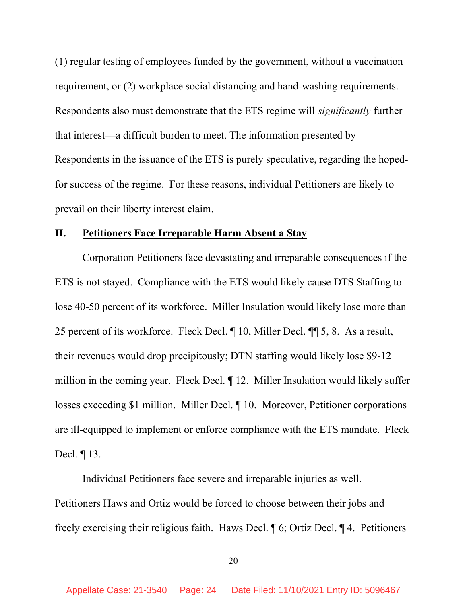(1) regular testing of employees funded by the government, without a vaccination requirement, or (2) workplace social distancing and hand-washing requirements. Respondents also must demonstrate that the ETS regime will significantly further that interest—a difficult burden to meet. The information presented by Respondents in the issuance of the ETS is purely speculative, regarding the hopedfor success of the regime. For these reasons, individual Petitioners are likely to prevail on their liberty interest claim.

#### II. Petitioners Face Irreparable Harm Absent a Stay

 Corporation Petitioners face devastating and irreparable consequences if the ETS is not stayed. Compliance with the ETS would likely cause DTS Staffing to lose 40-50 percent of its workforce. Miller Insulation would likely lose more than 25 percent of its workforce. Fleck Decl. ¶ 10, Miller Decl. ¶¶ 5, 8. As a result, their revenues would drop precipitously; DTN staffing would likely lose \$9-12 million in the coming year. Fleck Decl. ¶ 12. Miller Insulation would likely suffer losses exceeding \$1 million. Miller Decl. ¶ 10. Moreover, Petitioner corporations are ill-equipped to implement or enforce compliance with the ETS mandate. Fleck Decl. ¶ 13.

 Individual Petitioners face severe and irreparable injuries as well. Petitioners Haws and Ortiz would be forced to choose between their jobs and freely exercising their religious faith. Haws Decl. ¶ 6; Ortiz Decl. ¶ 4. Petitioners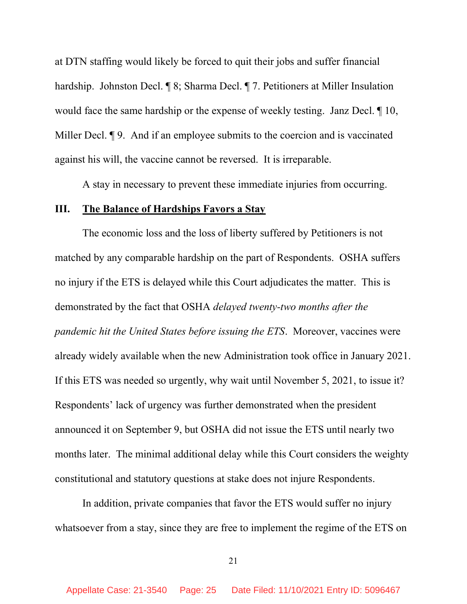at DTN staffing would likely be forced to quit their jobs and suffer financial hardship. Johnston Decl. ¶ 8; Sharma Decl. ¶ 7. Petitioners at Miller Insulation would face the same hardship or the expense of weekly testing. Janz Decl. ¶ 10, Miller Decl. **¶** 9. And if an employee submits to the coercion and is vaccinated against his will, the vaccine cannot be reversed. It is irreparable.

A stay in necessary to prevent these immediate injuries from occurring.

#### III. The Balance of Hardships Favors a Stay

 The economic loss and the loss of liberty suffered by Petitioners is not matched by any comparable hardship on the part of Respondents. OSHA suffers no injury if the ETS is delayed while this Court adjudicates the matter. This is demonstrated by the fact that OSHA delayed twenty-two months after the pandemic hit the United States before issuing the ETS. Moreover, vaccines were already widely available when the new Administration took office in January 2021. If this ETS was needed so urgently, why wait until November 5, 2021, to issue it? Respondents' lack of urgency was further demonstrated when the president announced it on September 9, but OSHA did not issue the ETS until nearly two months later. The minimal additional delay while this Court considers the weighty constitutional and statutory questions at stake does not injure Respondents.

 In addition, private companies that favor the ETS would suffer no injury whatsoever from a stay, since they are free to implement the regime of the ETS on